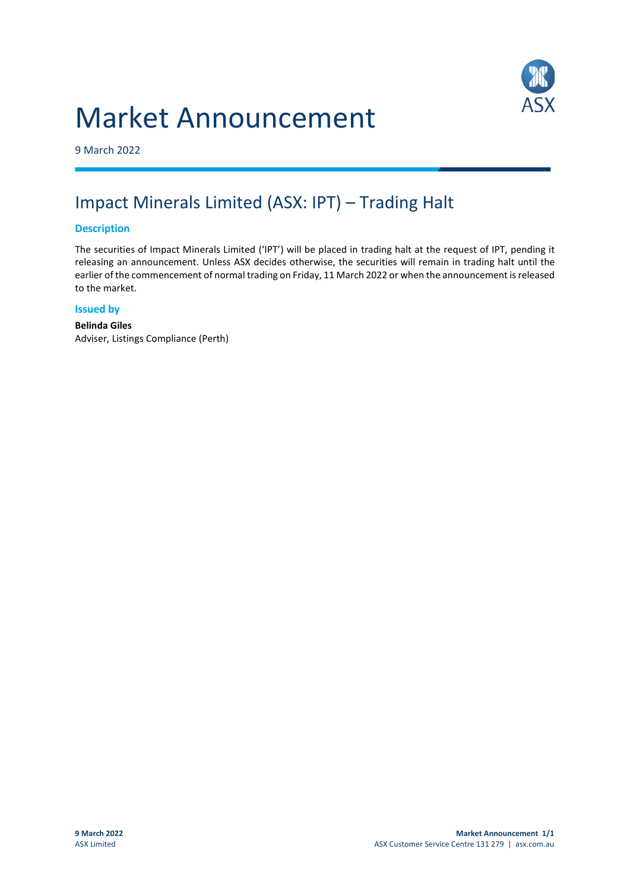## Market Announcement



9 March 2022

### Impact Minerals Limited (ASX: IPT) – Trading Halt

#### **Description**

The securities of Impact Minerals Limited ('IPT') will be placed in trading halt at the request of IPT, pending it releasing an announcement. Unless ASX decides otherwise, the securities will remain in trading halt until the earlier of the commencement of normal trading on Friday, 11 March 2022 or when the announcement is released to the market.

#### **Issued by**

**Belinda Giles** Adviser, Listings Compliance (Perth)